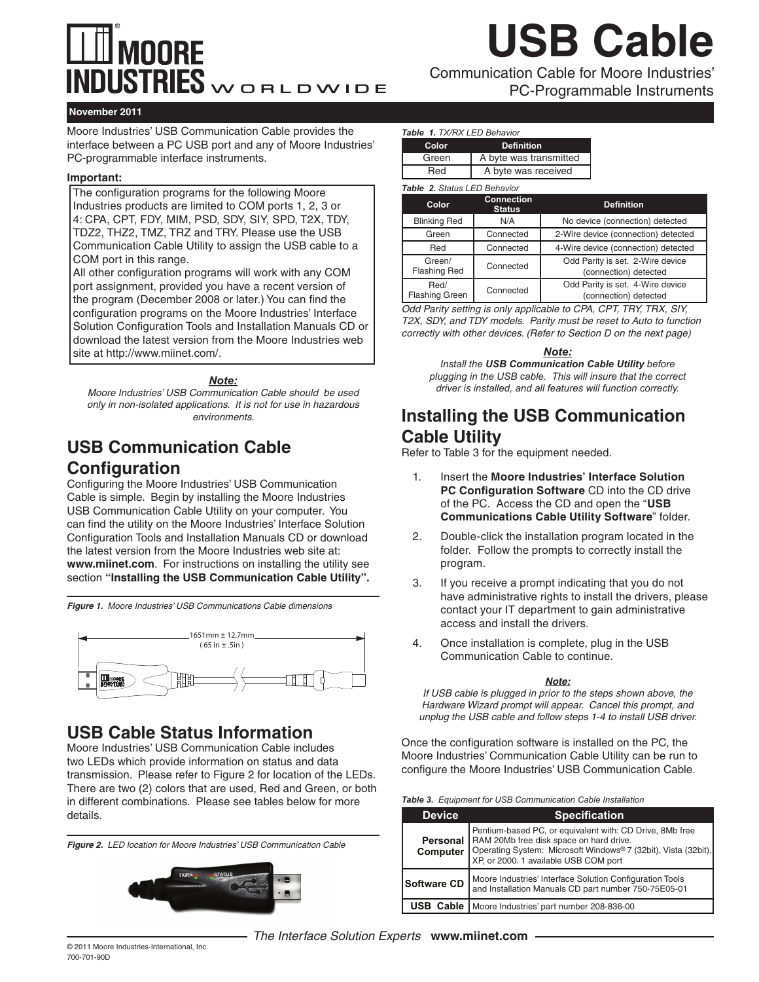## **MOORE**  $\overline{\text{INDUSTRIES}}$ WORLDWIDE

Communication Cable for Moore Industries' **USB Cable**

PC-Programmable Instruments

#### **November 2011**

Moore Industries' USB Communication Cable provides the interface between a PC USB port and any of Moore Industries' PC-programmable interface instruments.

#### **Important:**

The configuration programs for the following Moore Industries products are limited to COM ports 1, 2, 3 or 4: CPA, CPT, FDY, MIM, PSD, SDY, SIY, SPD, T2X, TDY, TDZ2, THZ2, TMZ, TRZ and TRY. Please use the USB Communication Cable Utility to assign the USB cable to a COM port in this range.

All other configuration programs will work with any COM port assignment, provided you have a recent version of the program (December 2008 or later.) You can find the configuration programs on the Moore Industries' Interface Solution Configuration Tools and Installation Manuals CD or download the latest version from the Moore Industries web site at http://www.miinet.com/.

#### *Note:*

*Moore Industries' USB Communication Cable should be used only in non-isolated applications. It is not for use in hazardous environments.* 

### **USB Communication Cable Configuration**

Configuring the Moore Industries' USB Communication Cable is simple. Begin by installing the Moore Industries USB Communication Cable Utility on your computer. You can find the utility on the Moore Industries' Interface Solution Configuration Tools and Installation Manuals CD or download the latest version from the Moore Industries web site at: **www.miinet.com**. For instructions on installing the utility see section **"Installing the USB Communication Cable Utility".**

*Figure 1. Moore Industries' USB Communications Cable dimensions*



## **USB Cable Status Information**

Moore Industries' USB Communication Cable includes two LEDs which provide information on status and data transmission. Please refer to Figure 2 for location of the LEDs. There are two (2) colors that are used, Red and Green, or both in different combinations. Please see tables below for more details.

*Figure 2. LED location for Moore Industries' USB Communication Cable*



#### *Table 1. TX/RX LED Behavior*

| Color | <b>Definition</b>      |
|-------|------------------------|
| Green | A byte was transmitted |
| Red   | A byte was received    |

#### *Table 2. Status LED Behavior*

| Color                         | <b>Connection</b><br><b>Status</b> | <b>Definition</b>                                         |
|-------------------------------|------------------------------------|-----------------------------------------------------------|
| <b>Blinking Red</b>           | N/A                                | No device (connection) detected                           |
| Green                         | Connected                          | 2-Wire device (connection) detected                       |
| Red                           | Connected                          | 4-Wire device (connection) detected                       |
| Green/<br><b>Flashing Red</b> | Connected                          | Odd Parity is set. 2-Wire device<br>(connection) detected |
| Red/<br><b>Flashing Green</b> | Connected                          | Odd Parity is set. 4-Wire device<br>(connection) detected |

*Odd Parity setting is only applicable to CPA, CPT, TRY, TRX, SIY, T2X, SDY, and TDY models. Parity must be reset to Auto to function correctly with other devices. (Refer to Section D on the next page)* 

#### *Note:*

*Install the USB Communication Cable Utility before plugging in the USB cable. This will insure that the correct driver is installed, and all features will function correctly.*

## **Installing the USB Communication Cable Utility**

Refer to Table 3 for the equipment needed.

- 1. Insert the **Moore Industries' Interface Solution PC Configuration Software** CD into the CD drive of the PC. Access the CD and open the "**USB Communications Cable Utility Software**" folder.
- 2. Double-click the installation program located in the folder. Follow the prompts to correctly install the program.
- 3. If you receive a prompt indicating that you do not have administrative rights to install the drivers, please contact your IT department to gain administrative access and install the drivers.
- 4. Once installation is complete, plug in the USB Communication Cable to continue.

#### *Note:*

*If USB cable is plugged in prior to the steps shown above, the Hardware Wizard prompt will appear. Cancel this prompt, and unplug the USB cable and follow steps 1-4 to install USB driver.*

Once the configuration software is installed on the PC, the Moore Industries' Communication Cable Utility can be run to configure the Moore Industries' USB Communication Cable.

| <b>Device</b>      | <b>Specification</b>                                                                                                                                                                                                                      |
|--------------------|-------------------------------------------------------------------------------------------------------------------------------------------------------------------------------------------------------------------------------------------|
|                    | Pentium-based PC, or equivalent with: CD Drive, 8Mb free<br>  RAM 20Mb free disk space on hard drive.<br><b>Computer</b> Operating System: Microsoft Windows <sup>®</sup> 7 (32bit), Vista (32bit), XP, or 2000. 1 available USB COM port |
| <b>Software CD</b> | Moore Industries' Interface Solution Configuration Tools<br>and Installation Manuals CD part number 750-75E05-01                                                                                                                          |
| <b>USB Cable</b>   | Moore Industries' part number 208-836-00                                                                                                                                                                                                  |

© 2011 Moore Industries-International, Inc. 700-701-90D